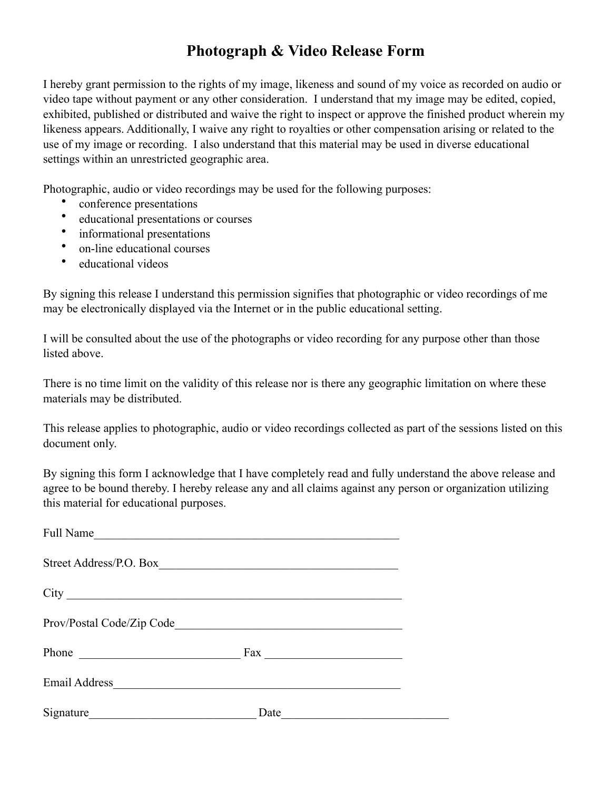## **Photograph & Video Release Form**

I hereby grant permission to the rights of my image, likeness and sound of my voice as recorded on audio or video tape without payment or any other consideration. I understand that my image may be edited, copied, exhibited, published or distributed and waive the right to inspect or approve the finished product wherein my likeness appears. Additionally, I waive any right to royalties or other compensation arising or related to the use of my image or recording. I also understand that this material may be used in diverse educational settings within an unrestricted geographic area.

Photographic, audio or video recordings may be used for the following purposes:

- conference presentations
- educational presentations or courses
- informational presentations
- on-line educational courses
- educational videos

By signing this release I understand this permission signifies that photographic or video recordings of me may be electronically displayed via the Internet or in the public educational setting.

I will be consulted about the use of the photographs or video recording for any purpose other than those listed above.

There is no time limit on the validity of this release nor is there any geographic limitation on where these materials may be distributed.

This release applies to photographic, audio or video recordings collected as part of the sessions listed on this document only.

By signing this form I acknowledge that I have completely read and fully understand the above release and agree to be bound thereby. I hereby release any and all claims against any person or organization utilizing this material for educational purposes.

| Full Name                | and the control of the control of the control of the control of the control of the control of the control of the |  |
|--------------------------|------------------------------------------------------------------------------------------------------------------|--|
| Street Address/P.O. Box_ |                                                                                                                  |  |
|                          |                                                                                                                  |  |
|                          |                                                                                                                  |  |
| Phone                    | $\text{Fax}$                                                                                                     |  |
|                          |                                                                                                                  |  |
|                          | Date                                                                                                             |  |